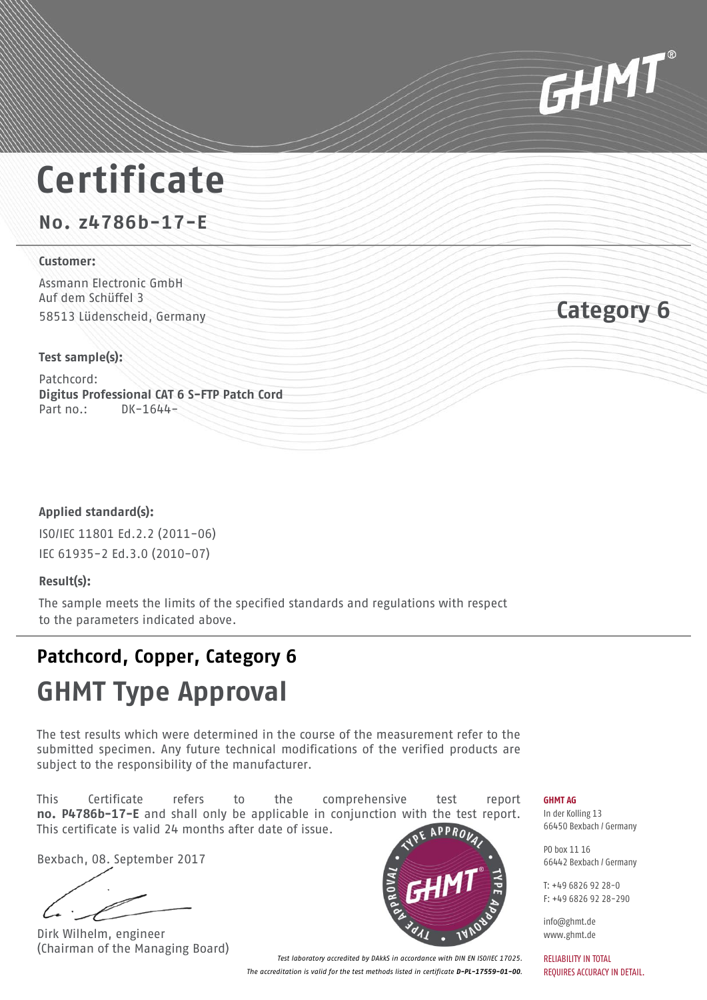

## **Certificate**

**No. z4786b-17-E**

### **Customer:**

Assmann Electronic GmbH Auf dem Schüffel 3 58513 Lüdenscheid, Germany **Category 6**

### **Test sample(s):**

Patchcord: **Digitus Professional CAT 6 S-FTP Patch Cord** Part no.: DK-1644-

### **Applied standard(s):**

ISO/IEC 11801 Ed.2.2 (2011-06) IEC 61935-2 Ed.3.0 (2010-07)

### **Result(s):**

The sample meets the limits of the specified standards and regulations with respect to the parameters indicated above.

## **Patchcord, Copper, Category 6**

## **GHMT Type Approval**

The test results which were determined in the course of the measurement refer to the submitted specimen. Any future technical modifications of the verified products are subject to the responsibility of the manufacturer.

This Certificate refers to the comprehensive test report **no. P4786b-17-E** and shall only be applicable in conjunction with the test report. This certificate is valid 24 months after date of issue.

Bexbach, 08. September 2017

Dirk Wilhelm, engineer (Chairman of the Managing Board)



**GHMT AG**

In der Kolling 13 66450 Bexbach / Germany

PO box 11 16 66442 Bexbach / Germany

 $T: +4968269228 - 0$ F: +49 6826 92 28-290

info@ghmt.de www.ghmt.de

RELIABILITY IN TOTAL REQUIRES ACCURACY IN DETAIL.

*Test laboratory accredited by DAkkS in accordance with DIN EN ISO/IEC 17025. The accreditation is valid for the test methods listed in certificate D-PL-17559-01-00.*